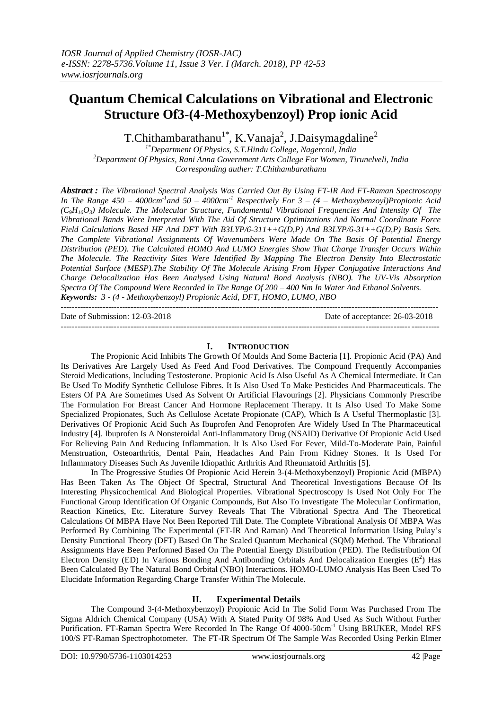---------------------------------------------------------------------------------------------------------------------------------------

# **Quantum Chemical Calculations on Vibrational and Electronic Structure Of3-(4-Methoxybenzoyl) Prop ionic Acid**

T.Chithambarathanu<sup>1\*</sup>, K.Vanaja<sup>2</sup>, J.Daisymagdaline<sup>2</sup>

*1\*Department Of Physics, S.T.Hindu College, Nagercoil, India <sup>2</sup>Department Of Physics, Rani Anna Government Arts College For Women, Tirunelveli, India Corresponding auther: T.Chithambarathanu*

*Abstract : The Vibrational Spectral Analysis Was Carried Out By Using FT-IR And FT-Raman Spectroscopy In The Range 450 – 4000cm-1 and 50 – 4000cm-1 Respectively For 3 – (4 – Methoxybenzoyl)Propionic Acid*   $(C_0H_{10}O_3)$  Molecule. The Molecular Structure, Fundamental Vibrational Frequencies And Intensity Of The *Vibrational Bands Were Interpreted With The Aid Of Structure Optimizations And Normal Coordinate Force Field Calculations Based HF And DFT With B3LYP/6-311++G(D,P) And B3LYP/6-31++G(D,P) Basis Sets. The Complete Vibrational Assignments Of Wavenumbers Were Made On The Basis Of Potential Energy Distribution (PED). The Calculated HOMO And LUMO Energies Show That Charge Transfer Occurs Within The Molecule. The Reactivity Sites Were Identified By Mapping The Electron Density Into Electrostatic Potential Surface (MESP).The Stability Of The Molecule Arising From Hyper Conjugative Interactions And Charge Delocalization Has Been Analysed Using Natural Bond Analysis (NBO). The UV-Vis Absorption Spectra Of The Compound Were Recorded In The Range Of 200 – 400 Nm In Water And Ethanol Solvents. Keywords: 3 - (4 - Methoxybenzoyl) Propionic Acid, DFT, HOMO, LUMO, NBO*

Date of Submission: 12-03-2018 Date of acceptance: 26-03-2018

#### **I. INTRODUCTION**

---------------------------------------------------------------------------------------------------------------------------------------

The Propionic Acid Inhibits The Growth Of Moulds And Some Bacteria [1]. Propionic Acid (PA) And Its Derivatives Are Largely Used As Feed And Food Derivatives. The Compound Frequently Accompanies Steroid Medications, Including Testosterone. Propionic Acid Is Also Useful As A Chemical Intermediate. It Can Be Used To Modify Synthetic Cellulose Fibres. It Is Also Used To Make Pesticides And Pharmaceuticals. The Esters Of PA Are Sometimes Used As Solvent Or Artificial Flavourings [2]. Physicians Commonly Prescribe The Formulation For Breast Cancer And Hormone Replacement Therapy. It Is Also Used To Make Some Specialized Propionates, Such As Cellulose Acetate Propionate (CAP), Which Is A Useful Thermoplastic [3]. Derivatives Of Propionic Acid Such As Ibuprofen And Fenoprofen Are Widely Used In The Pharmaceutical Industry [4]. Ibuprofen Is A Nonsteroidal Anti-Inflammatory Drug (NSAID) Derivative Of Propionic Acid Used For Relieving Pain And Reducing Inflammation. It Is Also Used For Fever, Mild-To-Moderate Pain, Painful Menstruation, Osteoarthritis, Dental Pain, Headaches And Pain From Kidney Stones. It Is Used For Inflammatory Diseases Such As Juvenile Idiopathic Arthritis And Rheumatoid Arthritis [5].

In The Progressive Studies Of Propionic Acid Herein 3-(4-Methoxybenzoyl) Propionic Acid (MBPA) Has Been Taken As The Object Of Spectral, Structural And Theoretical Investigations Because Of Its Interesting Physicochemical And Biological Properties. Vibrational Spectroscopy Is Used Not Only For The Functional Group Identification Of Organic Compounds, But Also To Investigate The Molecular Confirmation, Reaction Kinetics, Etc. Literature Survey Reveals That The Vibrational Spectra And The Theoretical Calculations Of MBPA Have Not Been Reported Till Date. The Complete Vibrational Analysis Of MBPA Was Performed By Combining The Experimental (FT-IR And Raman) And Theoretical Information Using Pulay's Density Functional Theory (DFT) Based On The Scaled Quantum Mechanical (SQM) Method. The Vibrational Assignments Have Been Performed Based On The Potential Energy Distribution (PED). The Redistribution Of Electron Density (ED) In Various Bonding And Antibonding Orbitals And Delocalization Energies ( $E^2$ ) Has Been Calculated By The Natural Bond Orbital (NBO) Interactions. HOMO-LUMO Analysis Has Been Used To Elucidate Information Regarding Charge Transfer Within The Molecule.

# **II. Experimental Details**

The Compound 3-(4-Methoxybenzoyl) Propionic Acid In The Solid Form Was Purchased From The Sigma Aldrich Chemical Company (USA) With A Stated Purity Of 98% And Used As Such Without Further Purification. FT-Raman Spectra Were Recorded In The Range Of 4000-50cm<sup>-1</sup> Using BRUKER, Model RFS 100/S FT-Raman Spectrophotometer. The FT-IR Spectrum Of The Sample Was Recorded Using Perkin Elmer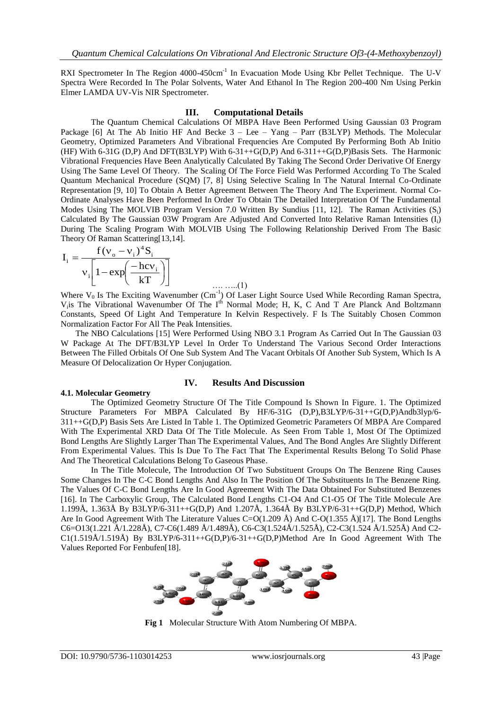RXI Spectrometer In The Region 4000-450cm<sup>-1</sup> In Evacuation Mode Using Kbr Pellet Technique. The U-V Spectra Were Recorded In The Polar Solvents, Water And Ethanol In The Region 200-400 Nm Using Perkin Elmer LAMDA UV-Vis NIR Spectrometer.

#### **III. Computational Details**

The Quantum Chemical Calculations Of MBPA Have Been Performed Using Gaussian 03 Program Package [6] At The Ab Initio HF And Becke 3 – Lee – Yang – Parr (B3LYP) Methods. The Molecular Geometry, Optimized Parameters And Vibrational Frequencies Are Computed By Performing Both Ab Initio (HF) With 6-31G (D,P) And DFT(B3LYP) With 6-31++G(D,P) And 6-311++G(D,P)Basis Sets. The Harmonic Vibrational Frequencies Have Been Analytically Calculated By Taking The Second Order Derivative Of Energy Using The Same Level Of Theory. The Scaling Of The Force Field Was Performed According To The Scaled Quantum Mechanical Procedure (SQM) [7, 8] Using Selective Scaling In The Natural Internal Co-Ordinate Representation [9, 10] To Obtain A Better Agreement Between The Theory And The Experiment. Normal Co-Ordinate Analyses Have Been Performed In Order To Obtain The Detailed Interpretation Of The Fundamental Modes Using The MOLVIB Program Version 7.0 Written By Sundius [11, 12]. The Raman Activities  $(S_i)$ Calculated By The Gaussian 03W Program Are Adjusted And Converted Into Relative Raman Intensities  $(I_i)$ During The Scaling Program With MOLVIB Using The Following Relationship Derived From The Basic Theory Of Raman Scattering[13,14].  $4.4<sub>z</sub>$ 

$$
I_{i} = \frac{f(v_{o} - v_{i})^{4}S_{i}}{v_{i}\left[1 - exp\left(\frac{-hc v_{i}}{kT}\right)\right]}
$$
 .........(1)

Where  $V_0$  Is The Exciting Wavenumber (Cm<sup>-1</sup>) Of Laser Light Source Used While Recording Raman Spectra,  $V_i$ is The Vibrational Wavenumber Of The I<sup>th</sup> Normal Mode; H, K, C And T Are Planck And Boltzmann Constants, Speed Of Light And Temperature In Kelvin Respectively. F Is The Suitably Chosen Common Normalization Factor For All The Peak Intensities.

 The NBO Calculations [15] Were Performed Using NBO 3.1 Program As Carried Out In The Gaussian 03 W Package At The DFT/B3LYP Level In Order To Understand The Various Second Order Interactions Between The Filled Orbitals Of One Sub System And The Vacant Orbitals Of Another Sub System, Which Is A Measure Of Delocalization Or Hyper Conjugation.

#### **IV. Results And Discussion**

#### **4.1. Molecular Geometry**

The Optimized Geometry Structure Of The Title Compound Is Shown In Figure. 1. The Optimized Structure Parameters For MBPA Calculated By HF/6-31G (D,P),B3LYP/6-31++G(D,P)Andb3lyp/6- 311++G(D,P) Basis Sets Are Listed In Table 1. The Optimized Geometric Parameters Of MBPA Are Compared With The Experimental XRD Data Of The Title Molecule. As Seen From Table 1, Most Of The Optimized Bond Lengths Are Slightly Larger Than The Experimental Values, And The Bond Angles Are Slightly Different From Experimental Values. This Is Due To The Fact That The Experimental Results Belong To Solid Phase And The Theoretical Calculations Belong To Gaseous Phase.

In The Title Molecule, The Introduction Of Two Substituent Groups On The Benzene Ring Causes Some Changes In The C-C Bond Lengths And Also In The Position Of The Substituents In The Benzene Ring. The Values Of C-C Bond Lengths Are In Good Agreement With The Data Obtained For Substituted Benzenes [16]. In The Carboxylic Group, The Calculated Bond Lengths C1-O4 And C1-O5 Of The Title Molecule Are 1.199Å, 1.363Å By B3LYP/6-311++G(D,P) And 1.207Å, 1.364Å By B3LYP/6-31++G(D,P) Method, Which Are In Good Agreement With The Literature Values C=O(1.209 Å) And C-O(1.355 Å)[17]. The Bond Lengths C6=O13(1.221 Å/1.228Å), C7-C6(1.489 Å/1.489Å), C6-C3(1.524Å/1.525Å), C2-C3(1.524 Å/1.525Å) And C2- C1(1.519Å/1.519Å) By B3LYP/6-311++G(D,P)/6-31++G(D,P)Method Are In Good Agreement With The Values Reported For Fenbufen[18].



**Fig 1** Molecular Structure With Atom Numbering Of MBPA.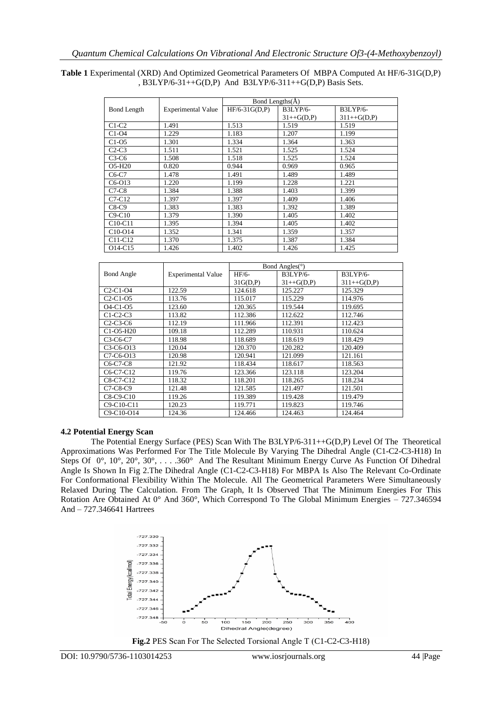#### **Table 1** Experimental (XRD) And Optimized Geometrical Parameters Of MBPA Computed At HF/6-31G(D,P) , B3LYP/6-31++G(D,P) And B3LYP/6-311++G(D,P) Basis Sets.

|                                  |                           | Bond Lengths(A) |                 |                 |  |  |  |  |
|----------------------------------|---------------------------|-----------------|-----------------|-----------------|--|--|--|--|
| <b>Bond Length</b>               | <b>Experimental Value</b> | $HF/6-31G(D,P)$ | <b>B3LYP/6-</b> | <b>B3LYP/6-</b> |  |  |  |  |
|                                  |                           |                 | $31++G(D,P)$    | $311++G(D,P)$   |  |  |  |  |
| $C1-C2$                          | 1.491                     | 1.513           | 1.519           | 1.519           |  |  |  |  |
| $C1-O4$                          | 1.229                     | 1.183           | 1.207           | 1.199           |  |  |  |  |
| $C1-05$                          | 1.301                     | 1.334           | 1.364           | 1.363           |  |  |  |  |
| $C2-C3$                          | 1.511                     | 1.521           | 1.525           | 1.524           |  |  |  |  |
| $C3-C6$                          | 1.508                     | 1.518           | 1.525           | 1.524           |  |  |  |  |
| O5-H20                           | 0.820                     | 0.944           | 0.969           | 0.965           |  |  |  |  |
| $C6-C7$                          | 1.478                     | 1.491           | 1.489           | 1.489           |  |  |  |  |
| $C6-O13$                         | 1.220                     | 1.199           | 1.228           | 1.221           |  |  |  |  |
| $C7-C8$                          | 1.384                     | 1.388           | 1.403           | 1.399           |  |  |  |  |
| $C7-C12$                         | 1.397                     | 1.397           | 1.409           | 1.406           |  |  |  |  |
| $C8-C9$                          | 1.383                     | 1.383           | 1.392           | 1.389           |  |  |  |  |
| $C9-C10$                         | 1.379                     | 1.390           | 1.405           | 1.402           |  |  |  |  |
| $C10-C11$                        | 1.395                     | 1.394           | 1.405           | 1.402           |  |  |  |  |
| $C10-O14$                        | 1.352                     | 1.341           | 1.359           | 1.357           |  |  |  |  |
| C <sub>11</sub> -C <sub>12</sub> | 1.370                     | 1.375           | 1.387           | 1.384           |  |  |  |  |
| O <sub>14</sub> -C <sub>15</sub> | 1.426                     | 1.402           | 1.426           | 1.425           |  |  |  |  |

|                   |                           | Bond Angles( $\circ$ ) |                 |                |  |  |  |  |
|-------------------|---------------------------|------------------------|-----------------|----------------|--|--|--|--|
| <b>Bond Angle</b> | <b>Experimental Value</b> | HF/6-                  | <b>B3LYP/6-</b> | B3LYP/6-       |  |  |  |  |
|                   |                           | 31G(D,P)               | $31++G(D,P)$    | $311 + G(D,P)$ |  |  |  |  |
| $C2-C1-O4$        | 122.59                    | 124.618                | 125.227         | 125.329        |  |  |  |  |
| $C2-C1-O5$        | 113.76                    | 115.017                | 115.229         | 114.976        |  |  |  |  |
| $O4-C1-O5$        | 123.60                    | 120.365                | 119.544         | 119.695        |  |  |  |  |
| $C1-C2-C3$        | 113.82                    | 112.386                | 112.622         | 112.746        |  |  |  |  |
| $C2-C3-C6$        | 112.19                    | 111.966                | 112.391         | 112.423        |  |  |  |  |
| C1-O5-H20         | 109.18                    | 112.289                | 110.931         | 110.624        |  |  |  |  |
| $C3-C6-C7$        | 118.98                    | 118.689                | 118.619         | 118.429        |  |  |  |  |
| $C3-C6-O13$       | 120.04                    | 120.370                | 120.282         | 120.409        |  |  |  |  |
| C7-C6-O13         | 120.98                    | 120.941                | 121.099         | 121.161        |  |  |  |  |
| $C6-C7-C8$        | 121.92                    | 118.434                | 118.617         | 118.563        |  |  |  |  |
| C6-C7-C12         | 119.76                    | 123.366                | 123.118         | 123.204        |  |  |  |  |
| C8-C7-C12         | 118.32                    | 118.201                | 118.265         | 118.234        |  |  |  |  |
| $C7-C8-C9$        | 121.48                    | 121.585                | 121.497         | 121.501        |  |  |  |  |
| C8-C9-C10         | 119.26                    | 119.389                | 119.428         | 119.479        |  |  |  |  |
| C9-C10-C11        | 120.23                    | 119.771                | 119.823         | 119.746        |  |  |  |  |
| C9-C10-O14        | 124.36                    | 124.466                | 124.463         | 124.464        |  |  |  |  |

#### **4.2 Potential Energy Scan**

The Potential Energy Surface (PES) Scan With The B3LYP/6-311++G(D,P) Level Of The Theoretical Approximations Was Performed For The Title Molecule By Varying The Dihedral Angle (C1-C2-C3-H18) In Steps Of 0°, 10°, 20°, 30°, . . . .360° And The Resultant Minimum Energy Curve As Function Of Dihedral Angle Is Shown In Fig 2.The Dihedral Angle (C1-C2-C3-H18) For MBPA Is Also The Relevant Co-Ordinate For Conformational Flexibility Within The Molecule. All The Geometrical Parameters Were Simultaneously Relaxed During The Calculation. From The Graph, It Is Observed That The Minimum Energies For This Rotation Are Obtained At 0° And 360°, Which Correspond To The Global Minimum Energies – 727.346594 And – 727.346641 Hartrees



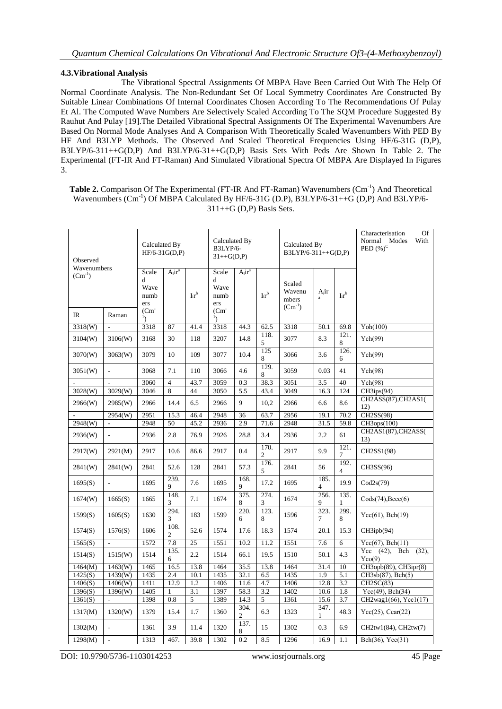## **4.3.Vibrational Analysis**

The Vibrational Spectral Assignments Of MBPA Have Been Carried Out With The Help Of Normal Coordinate Analysis. The Non-Redundant Set Of Local Symmetry Coordinates Are Constructed By Suitable Linear Combinations Of Internal Coordinates Chosen According To The Recommendations Of Pulay Et Al. The Computed Wave Numbers Are Selectively Scaled According To The SQM Procedure Suggested By Rauhut And Pulay [19].The Detailed Vibrational Spectral Assignments Of The Experimental Wavenumbers Are Based On Normal Mode Analyses And A Comparison With Theoretically Scaled Wavenumbers With PED By HF And B3LYP Methods. The Observed And Scaled Theoretical Frequencies Using HF/6-31G (D,P), B3LYP/6-311++G(D,P) And B3LYP/6-31++G(D,P) Basis Sets With Peds Are Shown In Table 2. The Experimental (FT-IR And FT-Raman) And Simulated Vibrational Spectra Of MBPA Are Displayed In Figures 3.

| <b>Table 2.</b> Comparison Of The Experimental (FT-IR And FT-Raman) Wavenumbers $(Cm-1)$ And Theoretical |
|----------------------------------------------------------------------------------------------------------|
| Wavenumbers $(Cm^{-1})$ Of MBPA Calculated By HF/6-31G (D.P), B3LYP/6-31++G (D,P) And B3LYP/6-           |
| $311++G$ (D.P) Basis Sets.                                                                               |

| Observed                   |                          | Calculated By<br>$HF/6-31G(D,P)$          |                        |                            | Calculated By<br>B3LYP/6-<br>$31++G(D,P)$ |                        |                                                                                                                  | Calculated By<br>B3LYP/6-311++G(D,P) |                        |                        | Characterisation<br>Of<br>Normal Modes<br>With<br>PED $(%)^C$ |
|----------------------------|--------------------------|-------------------------------------------|------------------------|----------------------------|-------------------------------------------|------------------------|------------------------------------------------------------------------------------------------------------------|--------------------------------------|------------------------|------------------------|---------------------------------------------------------------|
| Wavenumbers<br>$(Cm^{-1})$ |                          | Scale<br>d<br>Wave<br>numb<br>ers<br>(Cm) | $A_i$ ir <sup>a</sup>  | $\mathbf{I}_i\mathbf{r}^b$ | Scale<br>d<br>Wave<br>numb<br>ers<br>(Cm) | $A_i$ ir <sup>a</sup>  | Scaled<br>Wavenu<br>$A_i$ ir<br>$\mathbf{I}_i\mathbf{r}^b$<br>$\mathbf{I}_i\mathbf{r}^b$<br>mbers<br>$(Cm^{-1})$ |                                      |                        |                        |                                                               |
| $_{\rm IR}$                | Raman                    |                                           |                        |                            | $\mathbf{1}_{\lambda}$                    |                        |                                                                                                                  |                                      |                        |                        |                                                               |
| 3318(W)                    |                          | 3318                                      | 87                     | 41.4                       | 3318                                      | 44.3                   | 62.5                                                                                                             | 3318                                 | 50.1                   | 69.8                   | Yoh(100)                                                      |
| 3104(W)                    | 3106(W)                  | 3168                                      | 30                     | 118                        | 3207                                      | 14.8                   | 118.<br>5                                                                                                        | 3077                                 | 8.3                    | 121.<br>8              | Ych(99)                                                       |
| 3070(W)                    | 3063(W)                  | 3079                                      | 10                     | 109                        | 3077                                      | 10.4                   | 125<br>8                                                                                                         | 3066                                 | 3.6                    | 126.<br>6              | Ych(99)                                                       |
| 3051(W)                    |                          | 3068                                      | 7.1                    | 110                        | 3066                                      | 4.6                    | 129.<br>8                                                                                                        | 3059                                 | 0.03                   | 41                     | Ych(98)                                                       |
|                            |                          | 3060                                      | $\overline{4}$         | 43.7                       | 3059                                      | 0.3                    | 38.3                                                                                                             | 3051                                 | 3.5                    | 40                     | Ych(98)                                                       |
| 3028(W)                    | 3029(W)                  | 3046                                      | 8                      | 44                         | 3050                                      | 5.5                    | 43.4                                                                                                             | 3049                                 | 16.3                   | 124                    | CH3ips(94)                                                    |
| 2966(W)                    | 2985(W)                  | 2966                                      | 14.4                   | 6.5                        | 2966                                      | 9                      | 10,2                                                                                                             | 2966                                 | 6.6                    | 8.6                    | CH2ASS(87), CH2AS1(<br>12)                                    |
|                            | 2954(W)                  | 2951                                      | 15.3                   | 46.4                       | 2948                                      | 36                     | 63.7                                                                                                             | 2956                                 | 19.1                   | 70.2                   | CH2SS(98)                                                     |
| 2948(W)                    |                          | 2948                                      | 50                     | 45.2                       | 2936                                      | 2.9                    | 71.6                                                                                                             | 2948                                 | 31.5                   | 59.8                   | CH3ops(100)                                                   |
| 2936(W)                    |                          | 2936                                      | 2.8                    | 76.9                       | 2926                                      | 28.8                   | 3.4                                                                                                              | 2936                                 | 2.2                    | 61                     | CH2AS1(87),CH2ASS(<br>13)                                     |
| 2917(W)                    | 2921(M)                  | 2917                                      | 10.6                   | 86.6                       | 2917                                      | 0.4                    | 170.<br>$\overline{c}$                                                                                           | 2917                                 | 9.9                    | 121.<br>7              | CH2SS1(98)                                                    |
| 2841(W)                    | 2841(W)                  | 2841                                      | 52.6                   | 128                        | 2841                                      | 57.3                   | 176.<br>5                                                                                                        | 2841                                 | 56                     | 192.<br>$\overline{4}$ | CH3SS(96)                                                     |
| 1695(S)                    | ÷,                       | 1695                                      | 239.<br>$\mathbf{Q}$   | 7.6                        | 1695                                      | 168.<br>9              | 17.2                                                                                                             | 1695                                 | 185.<br>$\overline{4}$ | 19.9                   | $\text{Cod2s}(79)$                                            |
| 1674(W)                    | 1665(S)                  | 1665                                      | 148.<br>3              | 7.1                        | 1674                                      | 375.<br>8              | 274.<br>3                                                                                                        | 1674                                 | 256.<br>9              | 135.<br>$\mathbf{1}$   | $\text{Cods}(74), \text{Bccc}(6)$                             |
| 1599(S)                    | 1605(S)                  | 1630                                      | 294.<br>3              | 183                        | 1599                                      | 220.<br>6              | 123.<br>8                                                                                                        | 1596                                 | 323.<br>7              | 299.<br>8              | $Ycc(61)$ , Bch $(19)$                                        |
| 1574(S)                    | 1576(S)                  | 1606                                      | 108.<br>$\overline{c}$ | 52.6                       | 1574                                      | 17.6                   | 18.3                                                                                                             | 1574                                 | 20.1                   | 15.3                   | CH3ipb(94)                                                    |
| 1565(S)                    | $\overline{\phantom{a}}$ | 1572                                      | 7.8                    | 25                         | 1551                                      | 10.2                   | 11.2                                                                                                             | 1551                                 | 7.6                    | 6                      | $Ycc(67)$ , Bch $(11)$                                        |
| 1514(S)                    | 1515(W)                  | 1514                                      | 135.<br>6              | 2.2                        | 1514                                      | 66.1                   | 19.5                                                                                                             | 1510                                 | 50.1                   | 4.3                    | Ycc $(42)$ ,<br>Bch<br>$(32)$ ,<br>$Y_{C0}(9)$                |
| 1464(M)                    | 1463(W)                  | 1465                                      | 16.5                   | 13.8                       | 1464                                      | 35.5                   | 13.8                                                                                                             | 1464                                 | 31.4                   | 10                     | CH3opb(89), CH3ipr(8)                                         |
| 1425(S)                    | 1439(W)                  | 1435                                      | $\overline{2.4}$       | 10.1                       | 1435                                      | 32.1                   | 6.5                                                                                                              | 1435                                 | 1.9                    | 5.1                    | CH3sb(87), Bch(5)                                             |
| 1406(S)                    | 1406(W)                  | 1411                                      | 12.9                   | 1.2                        | 1406                                      | 11.6                   | 4.7                                                                                                              | 1406                                 | 12.8                   | 3.2                    | CH2SC(83)                                                     |
| 1396(S)                    | 1396(W)                  | 1405                                      | 1                      | 3.1                        | 1397                                      | 58.3                   | 3.2                                                                                                              | 1402                                 | 10.6                   | 1.8                    | $Ycc(49)$ , Bch(34)                                           |
| 1361(S)                    |                          | 1398                                      | 0.8                    | 5                          | 1389                                      | 14.3                   | 5                                                                                                                | 1361                                 | 15.6                   | 3.7                    | CH2wag1(66), Ycc1(17)                                         |
| 1317(M)                    | 1320(W)                  | 1379                                      | 15.4                   | 1.7                        | 1360                                      | 304.<br>$\mathfrak{2}$ | 6.3                                                                                                              | 1323                                 | 347.<br>1              | 48.3                   | Ycc $(25)$ , Ccar $(22)$                                      |
| 1302(M)                    |                          | 1361                                      | 3.9                    | 11.4                       | 1320                                      | 137.<br>8              | 15                                                                                                               | 1302                                 | 0.3                    | 6.9                    | CH2tw1(84), CH2tw(7)                                          |
| 1298(M)                    |                          | 1313                                      | 467.                   | 39.8                       | 1302                                      | 0.2                    | 8.5                                                                                                              | 1296                                 | 16.9                   | 1.1                    | Bch(36), Ycc(31)                                              |

DOI: 10.9790/5736-1103014253 www.iosrjournals.org 45 |Page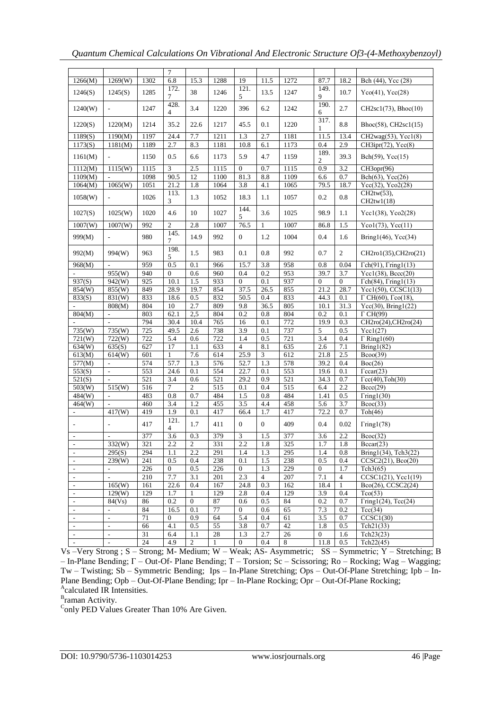| 1266(M)                     | 1269(W)                  | 1302 | $7\phantom{.0}$<br>6.8 | 15.3             | 1288 | 19                | 11.5             | 1272             | 87.7                   | 18.2            | Bch (44), Ycc (28)                     |  |
|-----------------------------|--------------------------|------|------------------------|------------------|------|-------------------|------------------|------------------|------------------------|-----------------|----------------------------------------|--|
| 1246(S)                     | 1245(S)                  | 1285 | 172.<br>7              | 38               | 1246 | 121.<br>5         | 13.5             | 1247             | 149.<br>9              | 10.7            | $Yco(41)$ , $Ycc(28)$                  |  |
| 1240(W)                     | $\overline{\phantom{a}}$ | 1247 | 428.<br>$\overline{4}$ | 3.4              | 1220 | 396               | 6.2              | 1242             | 190.<br>6              | 2.7             | $CH2sc1(73)$ , Bhoc $(10)$             |  |
| 1220(S)                     | 1220(M)                  | 1214 | 35.2                   | 22.6             | 1217 | 45.5              | 0.1              | 1220             | 317.                   | $\!\!\!\!\!8.8$ | Bhoc(58), CH2sc1(15)                   |  |
| 1189(S)                     | 1190(M)                  | 1197 | 24.4                   | 7.7              | 1211 | 1.3               | 2.7              | 1181             | 1<br>11.5              | 13.4            | CH2wag(53), Ycc1(8)                    |  |
| 1173(S)                     | 1181(M)                  | 1189 | 2.7                    | 8.3              | 1181 | 10.8              | 6.1              | 1173             | 0.4                    | 2.9             | CH3ipr(72), Ycc(8)                     |  |
| 1161(M)                     | $\overline{\phantom{a}}$ | 1150 | 0.5                    | 6.6              | 1173 | 5.9               | 4.7              | 1159             | 189.<br>$\overline{2}$ | 39.3            | $Bch(59)$ , Ycc $(15)$                 |  |
| 1112(M)                     | 1115(W)                  | 1115 | $\overline{3}$         | 2.5              | 1115 | $\boldsymbol{0}$  | 0.7              | 1115             | 0.9                    | 3.2             | CH3opr(96)                             |  |
| 1109(M)                     |                          | 1098 | 90.5                   | 12               | 1100 | 81.3              | 8.8              | 1109             | 6.6                    | 0.7             | Bch(63), Ycc(26)                       |  |
| 1064(M)                     | 1065(W)                  | 1051 | 21.2                   | 1.8              | 1064 | 3.8               | 4.1              | 1065             | 79.5                   | 18.7            | $Ycc(32)$ , $Yco2(28)$                 |  |
| 1058(W)                     | $\overline{\phantom{a}}$ | 1026 | 113.<br>3              | 1.3              | 1052 | 18.3              | 1.1              | 1057             | 0.2                    | 0.8             | CH2tw(53),<br>CH2tw1(18)               |  |
| 1027(S)                     | 1025(W)                  | 1020 | 4.6                    | 10               | 1027 | 144.<br>5         | 3.6              | 1025             | 98.9                   | 1.1             | $Ycc1(38)$ , $Yco2(28)$                |  |
| 1007(W)                     | 1007(W)                  | 992  | $\overline{2}$         | 2.8              | 1007 | 76.5              | 1                | 1007             | 86.8                   | 1.5             | Ycol(73), Ycc(11)                      |  |
| 999(M)                      | $\overline{\phantom{a}}$ | 980  | 145.<br>7              | 14.9             | 992  | $\overline{0}$    | 1.2              | 1004             | 0.4                    | 1.6             | Bring $1(46)$ , Ycc $(34)$             |  |
| 992(M)                      | 994(W)                   | 963  | 198.<br>5              | 1.5              | 983  | 0.1               | 0.8              | 992              | 0.7                    | $\overline{c}$  | CH2ro1(35),CH2ro(21)                   |  |
| 968(M)                      |                          | 959  | 0.5                    | 0.1              | 966  | 15.7              | 3.8              | 958              | 0.8                    | 0.04            | $\Gamma$ ch(91), $\Gamma$ ring1(13)    |  |
|                             | 955(W)                   | 940  | $\mathbf{0}$           | 0.6              | 960  | 0.4               | 0.2              | 953              | 39.7                   | 3.7             | $Ycc1(38)$ , $Bccc(20)$                |  |
| 937(S)                      | 942(W)                   | 925  | 10.1                   | 1.5              | 933  | $\boldsymbol{0}$  | 0.1              | 937              | $\overline{0}$         | $\mathbf{0}$    | $\Gamma$ ch(84), $\Gamma$ ring1(13)    |  |
| 854(W)                      | 855(W)                   | 849  | 28.9                   | 19.7             | 854  | 37.5              | 26.5             | 855              | 21.2                   | 28.7            | Ycc1(50), CCSC1(13)                    |  |
| 833(S)                      | 831(W)                   | 833  | 18.6                   | 0.5              | 832  | 50.5              | 0.4              | 833              | 44.3                   | 0.1             | $\Gamma$ CH(60), $\Gamma$ co(18).      |  |
|                             | 808(M)                   | 804  | 10                     | 2.7              | 809  | 9.8               | 36.5             | 805              | 10.1                   | 31.3            | $Ycc(30)$ , Bring1(22)                 |  |
| 804(M)                      | $\Box$                   | 803  | 62.1                   | 2,5              | 804  | 0.2               | 0.8              | 804              | 0.2                    | 0.1             | $\Gamma$ CH(99)                        |  |
|                             | $\sim$                   | 794  | 30.4                   | 10.4             | 765  | 16                | 0.1              | 772              | 19.9                   | 0.3             | $CH2ro(24)$ , CH <sub>2ro</sub> $(24)$ |  |
| 735(W)                      | 735(W)                   | 725  | 49.5                   | 2.6              | 738  | 3.9               | 0.1              | 737              | 5                      | 0.5             | Ycc1(27)                               |  |
| $\overline{721(W)}$         | 722(W)                   | 722  | 5.4                    | 0.6              | 722  | 1.4               | 0.5              | 721              | 3.4                    | 0.4             | $\Gamma$ Ring1(60)                     |  |
| 634(W)                      | 635(S)                   | 627  | 17                     | 1.1              | 633  | $\overline{4}$    | 8.1              | 635              | 2.6                    | 7.1             | Bring1(82)                             |  |
| 613(M)                      | 614(W)                   | 601  | $\mathbf{1}$           | 7.6              | 614  | $25.\overline{9}$ | 3                | $61\overline{2}$ | 21.8                   | 2.5             | Bcoo(39)                               |  |
| 577(M)                      | $\overline{\phantom{a}}$ | 574  | 57.7                   | 1.3              | 576  | 52.7              | 1.3              | 578              | 39.2                   | 0.4             | Boc(26)                                |  |
| 553(S)                      | $\overline{a}$           | 553  | 24.6                   | 0.1              | 554  | 22.7              | 0.1              | 553              | 19.6                   | 0.1             | Tccar(23)                              |  |
| 521(S)                      | $\overline{a}$           | 521  | 3.4                    | 0.6              | 521  | 29.2              | 0.9              | 521              | 34.3                   | 0.7             | Tcc(40),Toh(30)                        |  |
| 503(W)                      | 515(W)                   | 516  | $\overline{7}$         | $\mathfrak{2}$   | 515  | 0.1               | 0.4              | 515              | 6.4                    | 2.2             | Bccc(29)                               |  |
| 484(W)                      | $\sim$                   | 483  | 0.8                    | $\overline{0.7}$ | 484  | 1.5               | 0.8              | 484              | 1.41                   | 0.5             | Triangle(30)                           |  |
| 464(W)                      |                          | 460  | 3.4                    | 1.2              | 455  | 3.5               | 4.4              | 458              | 5.6                    | 3.7             | B <sub>coc</sub> (33)                  |  |
|                             | 417(W)                   | 419  | 1.9                    | 0.1              | 417  | 66.4              | 1.7              | 417              | 72.2                   | 0.7             | Toh(46)                                |  |
| $\overline{\phantom{a}}$    | $\overline{\phantom{a}}$ | 417  | 121.<br>4              | 1.7              | 411  | $\overline{0}$    | $\boldsymbol{0}$ | 409              | 0.4                    | 0.02            | Triangle(78)                           |  |
| $\overline{\phantom{a}}$    | $\overline{\phantom{a}}$ | 377  | $\overline{3.6}$       | 0.3              | 379  | 3                 | 1.5              | 377              | 3.6                    | 2.2             | B <sub>coc</sub> (32)                  |  |
|                             | 332(W)                   | 321  | 2.2                    | 2                | 331  | 2.2               | 1.8              | 325              | 1.7                    | 1.8             | Bccar(23)                              |  |
| $\blacksquare$              | 295(S)                   | 294  | 1.1                    | 2.2              | 291  | 1.4               | 1.3              | 295              | 1.4                    | 0.8             | Bring $1(34)$ , Tch $3(22)$            |  |
| $\mathcal{L}_{\mathcal{A}}$ | 239(W)                   | 241  | 0.5                    | 0.4              | 238  | 0.1               | 1.5              | 238              | 0.5                    | 0.4             | $\overline{CCSC2(21)}$ , Bco(20)       |  |
| $\mathcal{L}$               | $\sim$                   | 226  | $\overline{0}$         | 0.5              | 226  | $\overline{0}$    | 1.3              | 229              | $\overline{0}$         | 1.7             | Tch3(65)                               |  |
| $\mathbf{r}$                | $\mathbb{Z}^+$           | 210  | 7.7                    | 3.1              | 201  | 2.3               | $\overline{4}$   | 207              | 7.1                    | $\overline{4}$  | $CCSC1(21)$ , $Ycc1(19)$               |  |
| $\overline{\phantom{a}}$    | 165(W)                   | 161  | 22.6                   | 0.4              | 167  | 24.8              | 0.3              | 162              | 18.4                   | $\mathbf{1}$    | Bco(26), CCSC2(24)                     |  |
| $\sim$                      | 129(W)                   | 129  | 1.7                    | 1                | 129  | 2.8               | 0.4              | 129              | 3.9                    | 0.4             | Tco(53)                                |  |
| $\blacksquare$              | 84(Vs)                   | 86   | 0.2                    | $\mathbf{0}$     | 87   | 0.6               | 0.5              | 84               | 0.2                    | 0.7             | $Triangle(24)$ , $Tcc(24)$             |  |
| $\sim$                      | $\mathcal{L}$            | 84   | 16.5                   | 0.1              | 77   | $\overline{0}$    | 0.6              | 65               | 7.3                    | 0.2             | Tcc(34)                                |  |
| $\overline{\phantom{a}}$    | $\overline{\phantom{a}}$ | 71   | $\overline{0}$         | 0.9              | 64   | 5.4               | 0.4              | 61               | 3.5                    | 0.7             | CCSC1(30)                              |  |
| $\sim$                      | $\mathcal{L}$            | 66   | 4.1                    | 0.5              | 55   | 3.8               | 0.7              | 42               | 1.8                    | 0.5             | $\overline{\text{Tch21}}(33)$          |  |
| $\sim$                      | $\sim$                   | 31   | 6.4                    | 1.1              | 28   | 1.3               | 2.7              | 26               | $\overline{0}$         | 1.6             | Tch23(23)                              |  |
| $\sim$                      | $\omega$                 | 24   | 4.9                    | 2                | 1    | $\mathbf{0}$      | 0.4              | 8                | 11.8                   | 0.5             | Tch22(45)                              |  |

Vs –Very Strong ; S – Strong; M- Medium; W – Weak; AS- Asymmetric; SS – Symmetric; Υ – Stretching; Β – In-Plane Bending; Γ – Out-Of- Plane Bending; Τ – Torsion; Sc – Scissoring; Ro – Rocking; Wag – Wagging; Tw – Twisting; Sb – Symmetric Bending; Ips – In-Plane Stretching; Ops – Out-Of-Plane Stretching; Ipb – In-Plane Bending; Opb – Out-Of-Plane Bending; Ipr – In-Plane Rocking; Opr – Out-Of-Plane Rocking; A calculated IR Intensities.

<sup>B</sup>raman Activity.<br><sup>C</sup>only PED Values Greater Than 10% Are Given.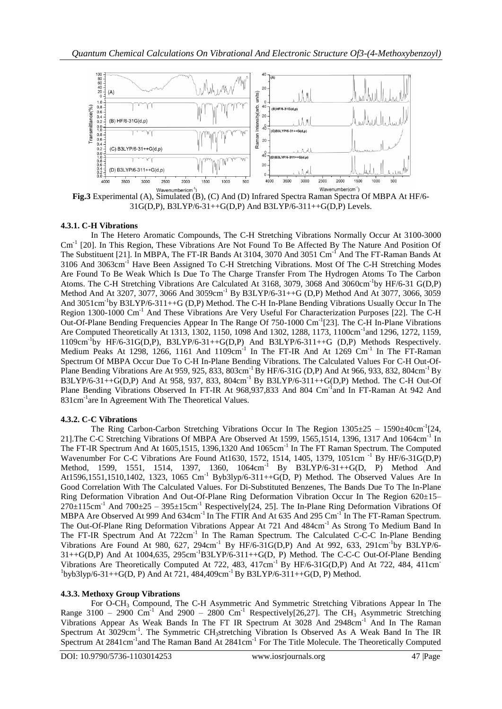

**Fig.3** Experimental (A), Simulated (B), (C) And (D) Infrared Spectra Raman Spectra Of MBPA At HF/6- 31G(D,P), B3LYP/6-31++G(D,P) And B3LYP/6-311++G(D,P) Levels.

# **4.3.1. C-H Vibrations**

In The Hetero Aromatic Compounds, The C-H Stretching Vibrations Normally Occur At 3100-3000 Cm<sup>-1</sup> [20]. In This Region, These Vibrations Are Not Found To Be Affected By The Nature And Position Of The Substituent [21]. In MBPA, The FT-IR Bands At 3104, 3070 And 3051 Cm<sup>-1</sup> And The FT-Raman Bands At 3106 And 3063cm-1 Have Been Assigned To C-H Stretching Vibrations. Most Of The C-H Stretching Modes Are Found To Be Weak Which Is Due To The Charge Transfer From The Hydrogen Atoms To The Carbon Atoms. The C-H Stretching Vibrations Are Calculated At 3168, 3079, 3068 And 3060cm<sup>-1</sup>by HF/6-31 G(D,P) Method And At 3207, 3077, 3066 And 3059cm<sup>-1</sup> By B3LYP/6-31++G (D,P) Method And At 3077, 3066, 3059 And 3051cm<sup>-1</sup>by B3LYP/6-311++G (D,P) Method. The C-H In-Plane Bending Vibrations Usually Occur In The Region 1300-1000 Cm-1 And These Vibrations Are Very Useful For Characterization Purposes [22]. The C-H Out-Of-Plane Bending Frequencies Appear In The Range Of 750-1000 Cm<sup>-1</sup>[23]. The C-H In-Plane Vibrations Are Computed Theoretically At 1313, 1302, 1150, 1098 And 1302, 1288, 1173, 1100cm<sup>-1</sup>and 1296, 1272, 1159, 1109cm<sup>-1</sup>by HF/6-31G(D,P), B3LYP/6-31++G(D,P) And B3LYP/6-311++G (D,P) Methods Respectively. Medium Peaks At 1298, 1266, 1161 And  $1109cm^{-1}$  In The FT-IR And At 1269 Cm<sup>-1</sup> In The FT-Raman Spectrum Of MBPA Occur Due To C-H In-Plane Bending Vibrations. The Calculated Values For C-H Out-Of-Plane Bending Vibrations Are At 959, 925, 833, 803cm<sup>-1</sup> By HF/6-31G (D,P) And At 966, 933, 832, 804cm<sup>-1</sup> By B3LYP/6-31++G(D,P) And At 958, 937, 833, 804cm-1 By B3LYP/6-311++G(D,P) Method. The C-H Out-Of Plane Bending Vibrations Observed In FT-IR At 968,937,833 And 804 Cm<sup>-1</sup>and In FT-Raman At 942 And 831cm-1 are In Agreement With The Theoretical Values.

# **4.3.2. C-C Vibrations**

The Ring Carbon-Carbon Stretching Vibrations Occur In The Region  $1305 \pm 25 - 1590 \pm 40$ cm<sup>-1</sup>[24, 21]. The C-C Stretching Vibrations Of MBPA Are Observed At 1599, 1565, 1514, 1396, 1317 And 1064cm<sup>-1</sup> In The FT-IR Spectrum And At 1605,1515, 1396,1320 And 1065cm<sup>-1</sup> In The FT Raman Spectrum. The Computed Wavenumber For C-C Vibrations Are Found At1630, 1572, 1514, 1405, 1379, 1051cm<sup>-1</sup> By HF/6-31G(D,P) Method, 1599, 1551, 1514, 1397, 1360, 1064cm<sup>-1</sup> By B3LYP/6-31++G(D, P) Method And At1596,1551,1510,1402, 1323, 1065 Cm<sup>-1</sup> Byb3lyp/6-311++G(D, P) Method. The Observed Values Are In Good Correlation With The Calculated Values. For Di-Substituted Benzenes, The Bands Due To The In-Plane Ring Deformation Vibration And Out-Of-Plane Ring Deformation Vibration Occur In The Region 620±15–  $270\pm115$ cm<sup>-1</sup> And  $700\pm25 - 395\pm15$ cm<sup>-1</sup> Respectively[24, 25]. The In-Plane Ring Deformation Vibrations Of MBPA Are Observed At 999 And 634cm<sup>-1</sup> In The FTIR And At 635 And 295 Cm<sup>-1</sup> In The FT-Raman Spectrum. The Out-Of-Plane Ring Deformation Vibrations Appear At 721 And 484cm<sup>-1</sup> As Strong To Medium Band In The FT-IR Spectrum And At 722cm<sup>-1</sup> In The Raman Spectrum. The Calculated C-C-C In-Plane Bending Vibrations Are Found At 980, 627, 294cm<sup>-1</sup> By HF/6-31G(D,P) And At 992, 633, 291cm<sup>-1</sup>by B3LYP/6- $31++G(D,P)$  And At 1004,635, 295cm<sup>-1</sup>B3LYP/6-311++G(D, P) Method. The C-C-C Out-Of-Plane Bending Vibrations Are Theoretically Computed At 722, 483,  $417 \text{cm}^{-1}$  By HF/6-31G(D,P) And At 722, 484, 411cm  $1$ byb3lyp/6-31++G(D, P) And At 721, 484,409cm<sup>-1</sup> By B3LYP/6-311++G(D, P) Method.

# **4.3.3. Methoxy Group Vibrations**

For O-CH<sup>3</sup> Compound, The C-H Asymmetric And Symmetric Stretching Vibrations Appear In The Range 3100 – 2900 Cm<sup>-1</sup> And 2900 – 2800 Cm<sup>-1</sup> Respectively[26,27]. The CH<sub>3</sub> Asymmetric Stretching Vibrations Appear As Weak Bands In The FT IR Spectrum At 3028 And 2948cm-1 And In The Raman Spectrum At 3029cm<sup>-1</sup>. The Symmetric CH<sub>3</sub>stretching Vibration Is Observed As A Weak Band In The IR Spectrum At 2841cm<sup>-1</sup> and The Raman Band At 2841cm<sup>-1</sup> For The Title Molecule. The Theoretically Computed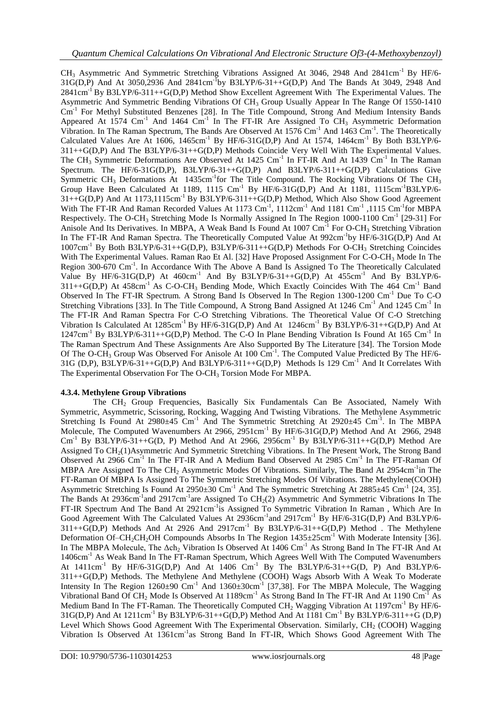$CH_3$  Asymmetric And Symmetric Stretching Vibrations Assigned At 3046, 2948 And 2841cm<sup>-1</sup> By HF/6-31G(D,P) And At 3050,2936 And 2841cm-1 by B3LYP/6-31++G(D,P) And The Bands At 3049, 2948 And 2841cm-1 By B3LYP/6-311++G(D,P) Method Show Excellent Agreement With The Experimental Values. The Asymmetric And Symmetric Bending Vibrations Of CH<sup>3</sup> Group Usually Appear In The Range Of 1550-1410 Cm<sup>-1</sup> For Methyl Substituted Benzenes [28]. In The Title Compound, Strong And Medium Intensity Bands Appeared At 1574  $\text{Cm}^{-1}$  And 1464  $\text{Cm}^{-1}$  In The FT-IR Are Assigned To  $\text{CH}_3$  Asymmetric Deformation Vibration. In The Raman Spectrum, The Bands Are Observed At  $1576 \text{ cm}^{-1}$  And  $1463 \text{ cm}^{-1}$ . The Theoretically Calculated Values Are At  $1606$ ,  $1465cm^{-1}$  By HF/6-31G(D,P) And At 1574,  $1464cm^{-1}$  By Both B3LYP/6-311++G(D,P) And The B3LYP/6-31++G(D,P) Methods Coincide Very Well With The Experimental Values. The CH<sub>3</sub> Symmetric Deformations Are Observed At 1425 Cm<sup>-1</sup> In FT-IR And At 1439 Cm<sup>-1</sup> In The Raman Spectrum. The HF/6-31G(D,P), B3LYP/6-31++G(D,P) And B3LYP/6-311++G(D,P) Calculations Give Symmetric CH<sub>3</sub> Deformations At 1435cm<sup>-1</sup>for The Title Compound. The Rocking Vibrations Of The CH<sub>3</sub> Group Have Been Calculated At 1189, 1115  $\text{Cm}^{-1}$  By HF/6-31G(D,P) And At 1181, 1115cm<sup>-1</sup>B3LYP/6- $31++G(D,P)$  And At  $1173,1115cm^{-1}$  By  $B3LYP/6-311+G(D,P)$  Method, Which Also Show Good Agreement With The FT-IR And Raman Recorded Values At 1173  $\text{Cm}^{-1}$ , 1112 $\text{cm}^{-1}$  And 1181  $\text{Cm}^{-1}$ , 1115  $\text{Cm}^{-1}$  for MBPA Respectively. The O-CH<sub>3</sub> Stretching Mode Is Normally Assigned In The Region 1000-1100 Cm<sup>-1</sup> [29-31] For Anisole And Its Derivatives. In MBPA, A Weak Band Is Found At 1007 Cm<sup>-1</sup> For O-CH<sub>3</sub> Stretching Vibration In The FT-IR And Raman Spectra. The Theoretically Computed Value At 992cm<sup>-1</sup>by HF/6-31G(D,P) And At 1007cm-1 By Both B3LYP/6-31++G(D,P), B3LYP/6-311++G(D,P) Methods For O-CH<sup>3</sup> Stretching Coincides With The Experimental Values. Raman Rao Et Al. [32] Have Proposed Assignment For C-O-CH<sub>3</sub> Mode In The Region 300-670 Cm<sup>-1</sup>. In Accordance With The Above A Band Is Assigned To The Theoretically Calculated Value By HF/6-31G(D,P) At  $460 \text{cm}^{-1}$  And By B3LYP/6-31++G(D,P) At  $455 \text{cm}^{-1}$  And By B3LYP/6- $311++G(D,P)$  At  $458cm^{-1}$  As C-O-CH<sub>3</sub> Bending Mode, Which Exactly Coincides With The  $464$  Cm<sup>-1</sup> Band Observed In The FT-IR Spectrum. A Strong Band Is Observed In The Region 1300-1200 Cm<sup>-1</sup> Due To C-O Stretching Vibrations [33]. In The Title Compound, A Strong Band Assigned At 1246 Cm<sup>-1</sup> And 1245 Cm<sup>-1</sup> In The FT-IR And Raman Spectra For C-O Stretching Vibrations. The Theoretical Value Of C-O Stretching Vibration Is Calculated At 1285cm-1 By HF/6-31G(D,P) And At 1246cm-1 By B3LYP/6-31++G(D,P) And At 1247cm<sup>-1</sup> By B3LYP/6-311++G(D,P) Method. The C-O In Plane Bending Vibration Is Found At 165 Cm<sup>-1</sup> In The Raman Spectrum And These Assignments Are Also Supported By The Literature [34]. The Torsion Mode Of The O-CH<sub>3</sub> Group Was Observed For Anisole At 100 Cm<sup>-1</sup>. The Computed Value Predicted By The HF/6-31G (D,P), B3LYP/6-31++G(D,P) And B3LYP/6-311++G(D,P) Methods Is 129 Cm-1 And It Correlates With The Experimental Observation For The O-CH<sub>3</sub> Torsion Mode For MBPA.

# **4.3.4. Methylene Group Vibrations**

The CH<sup>2</sup> Group Frequencies, Basically Six Fundamentals Can Be Associated, Namely With Symmetric, Asymmetric, Scissoring, Rocking, Wagging And Twisting Vibrations. The Methylene Asymmetric Stretching Is Found At  $2980\pm45$  Cm<sup>-1</sup> And The Symmetric Stretching At  $2920\pm45$  Cm<sup>-1</sup>. In The MBPA Molecule, The Computed Wavenumbers At 2966, 2951cm<sup>-1</sup> By HF/6-31G(D,P) Method And At 2966, 2948  $\text{Cm}^{-1}$  By B3LYP/6-31++G(D, P) Method And At 2966, 2956cm<sup>-1</sup> By B3LYP/6-311++G(D,P) Method Are Assigned To CH<sub>2</sub>(1)Asymmetric And Symmetric Stretching Vibrations. In The Present Work, The Strong Band Observed At 2966 Cm<sup>-1</sup> In The FT-IR And A Medium Band Observed At 2985 Cm<sup>-1</sup> In The FT-Raman Of MBPA Are Assigned To The CH<sub>2</sub> Asymmetric Modes Of Vibrations. Similarly, The Band At 2954cm<sup>-1</sup>in The FT-Raman Of MBPA Is Assigned To The Symmetric Stretching Modes Of Vibrations. The Methylene(COOH) Asymmetric Stretching Is Found At  $2950 \pm 30$  Cm<sup>-1</sup> And The Symmetric Stretching At  $2885 \pm 45$  Cm<sup>-1</sup> [24, 35]. The Bands At 2936 $cm^{-1}$ and 2917 $cm^{-1}$ are Assigned To CH<sub>2</sub>(2) Asymmetric And Symmetric Vibrations In The FT-IR Spectrum And The Band At 2921cm<sup>-1</sup>is Assigned To Symmetric Vibration In Raman, Which Are In Good Agreement With The Calculated Values At 2936cm<sup>-1</sup>and 2917cm<sup>-1</sup> By HF/6-31G(D,P) And B3LYP/6- $311++G(D,P)$  Methods And At 2926 And 2917cm<sup>-1</sup> By B3LYP/6-31++G(D,P) Method. The Methylene Deformation Of–CH<sub>2</sub>CH<sub>2</sub>OH Compounds Absorbs In The Region  $1435 \pm 25$ cm<sup>-1</sup> With Moderate Intensity [36]. In The MBPA Molecule, The  $\Delta$ ch<sub>2</sub> Vibration Is Observed At 1406 Cm<sup>-1</sup> As Strong Band In The FT-IR And At 1406cm-1 As Weak Band In The FT-Raman Spectrum, Which Agrees Well With The Computed Wavenumbers At  $1411 \text{cm}^{-1}$  By HF/6-31G(D,P) And At  $1406 \text{cm}^{-1}$  By The B3LYP/6-31++G(D, P) And B3LYP/6-311++G(D,P) Methods. The Methylene And Methylene (COOH) Wags Absorb With A Weak To Moderate Intensity In The Region  $1260 \pm 90$  Cm<sup>-1</sup> And  $1360 \pm 30$ cm<sup>-1</sup> [37,38]. For The MBPA Molecule, The Wagging Vibrational Band Of CH<sub>2</sub> Mode Is Observed At 1189cm<sup>-1</sup> As Strong Band In The FT-IR And At 1190 Cm<sup>-1</sup> As Medium Band In The FT-Raman. The Theoretically Computed  $CH_2$  Wagging Vibration At 1197cm<sup>-1</sup> By HF/6-31G(D,P) And At  $1211cm^{-1}$  By B3LYP/6-31++G(D,P) Method And At  $1181$  Cm<sup>-1</sup> By B3LYP/6-311++G (D,P) Level Which Shows Good Agreement With The Experimental Observation. Similarly, CH<sub>2</sub> (COOH) Wagging Vibration Is Observed At 1361cm-1 as Strong Band In FT-IR, Which Shows Good Agreement With The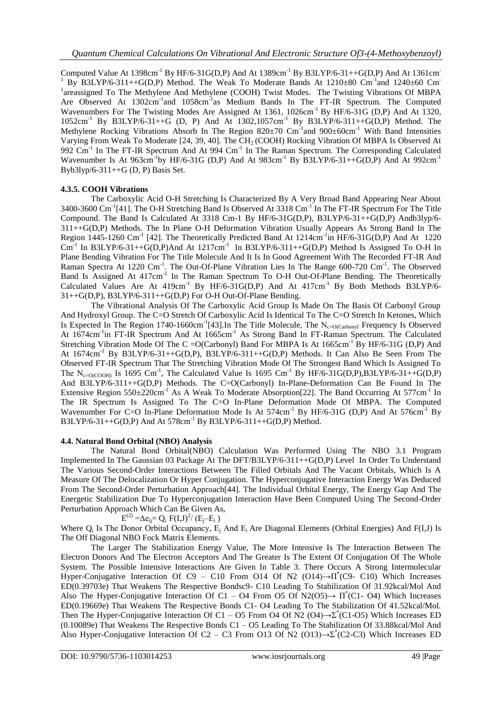Computed Value At  $1398 \text{cm}^{-1}$  By HF/6-31G(D,P) And At  $1389 \text{cm}^{-1}$  By B3LYP/6-31++G(D,P) And At  $1361 \text{cm}^{-1}$ <sup>1</sup> By B3LYP/6-311++G(D,P) Method. The Weak To Moderate Bands At  $1210\pm80$  Cm<sup>-1</sup>and  $1240\pm60$  Cm<sup>-1</sup> <sup>1</sup>areassigned To The Methylene And Methylene (COOH) Twist Modes. The Twisting Vibrations Of MBPA Are Observed At 1302cm<sup>-1</sup>and 1058cm<sup>-1</sup>as Medium Bands In The FT-IR Spectrum. The Computed Wavenumbers For The Twisting Modes Are Assigned At 1361, 1026cm<sup>-1</sup> By HF/6-31G (D,P) And At 1320,  $1052cm^{-1}$  By B3LYP/6-31++G (D, P) And At  $1302,1057cm^{-1}$  By B3LYP/6-311++G(D,P) Method. The Methylene Rocking Vibrations Absorb In The Region 820±70 Cm<sup>-1</sup> and 900±60cm<sup>-1</sup> With Band Intensities Varying From Weak To Moderate [24, 39, 40]. The CH<sub>2</sub> (COOH) Rocking Vibration Of MBPA Is Observed At 992  $\text{Cm}^{-1}$  In The FT-IR Spectrum And At 994  $\text{Cm}^{-1}$  In The Raman Spectrum. The Corresponding Calculated Wavenumber Is At  $963 \text{cm}^{-1}$ by HF/6-31G (D,P) And At  $983 \text{cm}^{-1}$  By B3LYP/6-31++G(D,P) And At  $992 \text{cm}^{-1}$ Byb3lyp/6-311++G (D, P) Basis Set.

## **4.3.5. COOH Vibrations**

The Carboxylic Acid O-H Stretching Is Characterized By A Very Broad Band Appearing Near About 3400-3600 Cm<sup>-1</sup>[41]. The O-H Stretching Band Is Observed At 3318 Cm<sup>-1</sup> In The FT-IR Spectrum For The Title Compound. The Band Is Calculated At 3318 Cm-1 By HF/6-31G(D,P), B3LYP/6-31++G(D,P) Andb3lyp/6- 311++G(D,P) Methods. The In Plane O-H Deformation Vibration Usually Appears As Strong Band In The Region 1445-1260 Cm<sup>-1</sup> [42]. The Theoretically Predicted Band At 1214cm<sup>-1</sup>in HF/6-31G(D,P) And At 1220  $\text{Cm}^{-1}$  In B3LYP/6-31++G(D,P)And At 1217cm<sup>-1</sup> In B3LYP/6-311++G(D,P) Method Is Assigned To O-H In Plane Bending Vibration For The Title Molecule And It Is In Good Agreement With The Recorded FT-IR And Raman Spectra At 1220 Cm<sup>-1</sup>. The Out-Of-Plane Vibration Lies In The Range 600-720 Cm<sup>-1</sup>. The Observed Band Is Assigned At 417cm<sup>-1</sup> In The Raman Spectrum To O-H Out-Of-Plane Bending. The Theoretically Calculated Values Are At  $419 \text{cm}^{-1}$  By HF/6-31G(D,P) And At  $417 \text{cm}^{-1}$  By Both Methods B3LYP/6-31++G(D,P), B3LYP/6-311++G(D,P) For O-H Out-Of-Plane Bending.

The Vibrational Analysis Of The Carboxylic Acid Group Is Made On The Basis Of Carbonyl Group And Hydroxyl Group. The C=O Stretch Of Carboxylic Acid Is Identical To The C=O Stretch In Ketones, Which Is Expected In The Region 1740-1660cm<sup>-1</sup>[43].In The Title Molecule, The N<sub>c=O(Carbonyl</sub> Frequency Is Observed At 1674cm<sup>-1</sup>in FT-IR Spectrum And At 1665cm<sup>-1</sup> As Strong Band In FT-Raman Spectrum. The Calculated Stretching Vibration Mode Of The C = O(Carbonyl) Band For MBPA Is At  $1665 \text{cm}^{-1}$  By HF/6-31G (D,P) And At 1674cm<sup>-1</sup> By B3LYP/6-31++G(D,P), B3LYP/6-311++G(D,P) Methods. It Can Also Be Seen From The Observed FT-IR Spectrum That The Stretching Vibration Mode Of The Strongest Band Which Is Assigned To The N<sub>c=O(COOH)</sub> Is 1695 Cm<sup>-1</sup>, The Calculated Value Is 1695 Cm<sup>-1</sup> By HF/6-31G(D,P),B3LYP/6-31++G(D,P) And B3LYP/6-311++G(D,P) Methods. The C=O(Carbonyl) In-Plane-Deformation Can Be Found In The Extensive Region  $550\pm220$ cm<sup>-1</sup> As A Weak To Moderate Absorption[22]. The Band Occurring At  $577$ cm<sup>-1</sup> In The IR Spectrum Is Assigned To The C=O In-Plane Deformation Mode Of MBPA. The Computed Wavenumber For C=O In-Plane Deformation Mode Is At 574cm<sup>-1</sup> By HF/6-31G (D,P) And At 576cm<sup>-1</sup> By B3LYP/6-31++G(D,P) And At  $578cm^{-1}$  By B3LYP/6-311++G(D,P) Method.

#### **4.4. Natural Bond Orbital (NBO) Analysis**

The Natural Bond Orbital(NBO) Calculation Was Performed Using The NBO 3.1 Program Implemented In The Gaussian 03 Package At The DFT/B3LYP/6-311++G(D,P) Level In Order To Understand The Various Second-Order Interactions Between The Filled Orbitals And The Vacant Orbitals, Which Is A Measure Of The Delocalization Or Hyper Conjugation. The Hyperconjugative Interaction Energy Was Deduced From The Second-Order Perturbation Approach[44]. The Individual Orbital Energy, The Energy Gap And The Energetic Stabilization Due To Hyperconjugation Interaction Have Been Computed Using The Second-Order Perturbation Approach Which Can Be Given As,

# $E^{(2)} = \Delta e_{ij} = Q_i F(I,J)^2 / (E_j - E_i)$

Where  $Q_i$  Is The Donor Orbital Occupancy,  $E_i$  And  $E_i$  Are Diagonal Elements (Orbital Energies) And F(I,J) Is The Off Diagonal NBO Fock Matrix Elements.

The Larger The Stabilization Energy Value, The More Intensive Is The Interaction Between The Electron Donors And The Electron Acceptors And The Greater Is The Extent Of Conjugation Of The Whole System. The Possible Intensive Interactions Are Given In Table 3. There Occurs A Strong Intermolecular Hyper-Conjugative Interaction Of C9 – C10 From O14 Of N2 (O14)→Π\* (C9- C10) Which Increases ED(0.39703e) That Weakens The Respective Bondsc9- C10 Leading To Stabilization Of 31.92kcal/Mol And Also The Hyper-Conjugative Interaction Of C1 – O4 From O5 Of N2(O5) $\rightarrow \Pi^*(C1 - 04)$  Which Increases ED(0.19669e) That Weakens The Respective Bonds C1- O4 Leading To The Stabilization Of 41.52kcal/Mol. Then The Hyper-Conjugative Interaction Of C1 – O5 From O4 Of N2 (O4) $\rightarrow \Sigma^*(C1-O5)$  Which Increases ED (0.10089e) That Weakens The Respective Bonds C1 – O5 Leading To The Stabilization Of 33.88kcal/Mol And Also Hyper-Conjugative Interaction Of C2 – C3 From O13 Of N2 (O13) $\rightarrow \Sigma^*(C2-C3)$  Which Increases ED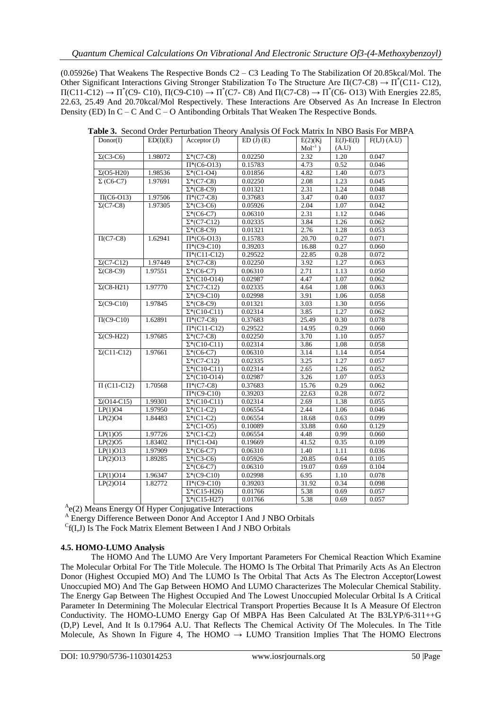(0.05926e) That Weakens The Respective Bonds C2 – C3 Leading To The Stabilization Of 20.85kcal/Mol. The Other Significant Interactions Giving Stronger Stabilization To The Structure Are  $\Pi$ (C7-C8)  $\rightarrow \Pi^*$ (C11-C12),  $\Pi$ (C11-C12)  $\rightarrow \Pi^*$ (C9-C10),  $\Pi$ (C9-C10)  $\rightarrow \Pi^*$ (C7-C8) And  $\Pi$ (C7-C8)  $\rightarrow \Pi^*$ (C6-O13) With Energies 22.85, 22.63, 25.49 And 20.70kcal/Mol Respectively. These Interactions Are Observed As An Increase In Electron Density (ED) In C – C And C – O Antibonding Orbitals That Weaken The Respective Bonds.

| Donor(I)           | ED(I)(E) | Acceptor (J)                   | ED(J)(E) | E(2)(Kj)     | $E(J)$ - $E(I)$ | $F(I,J)$ $(A.U)$ |
|--------------------|----------|--------------------------------|----------|--------------|-----------------|------------------|
|                    |          |                                |          | $Mol^{-1}$ ) | (A.U)           |                  |
| $\Sigma(C3-C6)$    | 1.98072  | $\Sigma^*(C7-C8)$              | 0.02250  | 2.32         | 1.20            | 0.047            |
|                    |          | $\Pi^*(C6-013)$                | 0.15783  | 4.73         | 0.52            | 0.046            |
| $\Sigma$ (O5-H20)  | 1.98536  | $\Sigma^*(C1-O4)$              | 0.01856  | 4.82         | 1.40            | 0.073            |
| $\Sigma$ (C6-C7)   | 1.97691  | $\Sigma^*(C7-C8)$              | 0.02250  | 2.08         | 1.23            | 0.045            |
|                    |          | $\Sigma^*(C8-C9)$              | 0.01321  | 2.31         | 1.24            | 0.048            |
| $\Pi(C6-O13)$      | 1.97506  | $\Pi^*(C7-C8)$                 | 0.37683  | 3.47         | 0.40            | 0.037            |
| $\Sigma$ (C7-C8)   | 1.97305  | $\overline{\Sigma^*(C3-C6)}$   | 0.05926  | 2.04         | 1.07            | 0.042            |
|                    |          | $\Sigma^*(C6-C7)$              | 0.06310  | 2.31         | 1.12            | 0.046            |
|                    |          | $\Sigma^*(C7-C12)$             | 0.02335  | 3.84         | 1.26            | 0.062            |
|                    |          | $\overline{\Sigma^*(C8-C9)}$   | 0.01321  | 2.76         | 1.28            | 0.053            |
| $\Pi$ (C7-C8)      | 1.62941  | $\Pi^*(C6-013)$                | 0.15783  | 20.70        | 0.27            | 0.071            |
|                    |          | $\Pi^*(C9-C10)$                | 0.39203  | 16.88        | 0.27            | 0.060            |
|                    |          | $\Pi^*(C11-C12)$               | 0.29522  | 22.85        | 0.28            | 0.072            |
| $\Sigma$ (C7-C12)  | 1.97449  | $\Sigma^*(C7-C8)$              | 0.02250  | 3.92         | 1.27            | 0.063            |
| $\Sigma(C8-C9)$    | 1.97551  | $\Sigma^*(C6-C7)$              | 0.06310  | 2.71         | 1.13            | 0.050            |
|                    |          | $\Sigma^*(C10-014)$            | 0.02987  | 4.47         | 1.07            | 0.062            |
| $\Sigma(C8-H21)$   | 1.97770  | $\Sigma^*(C7-C12)$             | 0.02335  | 4.64         | 1.08            | 0.063            |
|                    |          | $\Sigma^*(C9-C10)$             | 0.02998  | 3.91         | 1.06            | 0.058            |
| $\Sigma$ (C9-C10)  | 1.97845  | $\Sigma^*(C8-C9)$              | 0.01321  | 3.03         | 1.30            | 0.056            |
|                    |          | $\Sigma^*(C10-C11)$            | 0.02314  | 3.85         | 1.27            | 0.062            |
| $\Pi$ (C9-C10)     | 1.62891  | $\Pi^*(C7-C8)$                 | 0.37683  | 25.49        | 0.30            | 0.078            |
|                    |          | $\Pi^*(C11-C12)$               | 0.29522  | 14.95        | 0.29            | 0.060            |
| $\Sigma$ (C9-H22)  | 1.97685  | $\overline{\Sigma^*(C7-C8)}$   | 0.02250  | 3.70         | 1.10            | 0.057            |
|                    |          | $\Sigma^*(C10-C11)$            | 0.02314  | 3.86         | 1.08            | 0.058            |
| $\Sigma$ (C11-C12) | 1.97661  | $\overline{\Sigma^*(C6-C7)}$   | 0.06310  | 3.14         | 1.14            | 0.054            |
|                    |          | $\Sigma^*(C7-C12)$             | 0.02335  | 3.25         | 1.27            | 0.057            |
|                    |          | $\Sigma^*(C10-C11)$            | 0.02314  | 2.65         | 1.26            | 0.052            |
|                    |          | $\Sigma^*(C10-014)$            | 0.02987  | 3.26         | 1.07            | 0.053            |
| $\Pi$ (C11-C12)    | 1.70568  | $\Pi^*(C7-C8)$                 | 0.37683  | 15.76        | 0.29            | 0.062            |
|                    |          | $\Pi^*(C9-C10)$                | 0.39203  | 22.63        | 0.28            | 0.072            |
| $\Sigma$ (O14-C15) | 1.99301  | $\overline{\Sigma^*(C10-C11)}$ | 0.02314  | 2.69         | 1.38            | 0.055            |
| LP(1)O4            | 1.97950  | $\Sigma^*(C1-C2)$              | 0.06554  | 2.44         | 1.06            | 0.046            |
| LP(2)O4            | 1.84483  | $\Sigma^*(C1-C2)$              | 0.06554  | 18.68        | 0.63            | 0.099            |
|                    |          | $\Sigma^*(C1-05)$              | 0.10089  | 33.88        | 0.60            | 0.129            |
| LP(1)O5            | 1.97726  | $\Sigma^*(C1-C2)$              | 0.06554  | 4.48         | 0.99            | 0.060            |
| LP(2)O5            | 1.83402  | $\Pi^*(C1-O4)$                 | 0.19669  | 41.52        | 0.35            | 0.109            |
| LP(1)O13           | 1.97909  | $\Sigma^*(C6-C7)$              | 0.06310  | 1.40         | 1.11            | 0.036            |
| LP(2)O13           | 1.89285  | $\Sigma^*(C3-C6)$              | 0.05926  | 20.85        | 0.64            | 0.105            |
|                    |          | $\Sigma^*(C6-C7)$              | 0.06310  | 19.07        | 0.69            | 0.104            |
| LP(1)O14           | 1.96347  | $\Sigma^*(C9-C10)$             | 0.02998  | 6.95         | 1.10            | 0.078            |
| LP(2)O14           | 1.82772  | $\Pi^*(C9-C10)$                | 0.39203  | 31.92        | 0.34            | 0.098            |
|                    |          | $\overline{\Sigma^*(C15-H26)}$ | 0.01766  | 5.38         | 0.69            | 0.057            |
|                    |          | $\Sigma^*(C15-H27)$            | 0.01766  | 5.38         | 0.69            | 0.057            |

**Table 3.** Second Order Perturbation Theory Analysis Of Fock Matrix In NBO Basis For MBPA

A<sub>e</sub>(2) Means Energy Of Hyper Conjugative Interactions

<sup>A</sup> Energy Difference Between Donor And Acceptor I And J NBO Orbitals

 $C_f(I,J)$  Is The Fock Matrix Element Between I And J NBO Orbitals

# **4.5. HOMO-LUMO Analysis**

The HOMO And The LUMO Are Very Important Parameters For Chemical Reaction Which Examine The Molecular Orbital For The Title Molecule. The HOMO Is The Orbital That Primarily Acts As An Electron Donor (Highest Occupied MO) And The LUMO Is The Orbital That Acts As The Electron Acceptor(Lowest Unoccupied MO) And The Gap Between HOMO And LUMO Characterizes The Molecular Chemical Stability. The Energy Gap Between The Highest Occupied And The Lowest Unoccupied Molecular Orbital Is A Critical Parameter In Determining The Molecular Electrical Transport Properties Because It Is A Measure Of Electron Conductivity. The HOMO-LUMO Energy Gap Of MBPA Has Been Calculated At The B3LYP/6-311++G (D,P) Level, And It Is 0.17964 A.U. That Reflects The Chemical Activity Of The Molecules. In The Title Molecule, As Shown In Figure 4, The HOMO  $\rightarrow$  LUMO Transition Implies That The HOMO Electrons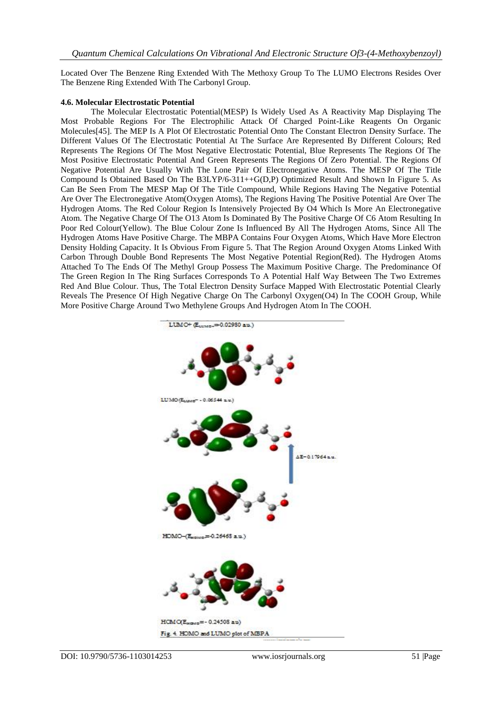Located Over The Benzene Ring Extended With The Methoxy Group To The LUMO Electrons Resides Over The Benzene Ring Extended With The Carbonyl Group.

#### **4.6. Molecular Electrostatic Potential**

The Molecular Electrostatic Potential(MESP) Is Widely Used As A Reactivity Map Displaying The Most Probable Regions For The Electrophilic Attack Of Charged Point-Like Reagents On Organic Molecules[45]. The MEP Is A Plot Of Electrostatic Potential Onto The Constant Electron Density Surface. The Different Values Of The Electrostatic Potential At The Surface Are Represented By Different Colours; Red Represents The Regions Of The Most Negative Electrostatic Potential, Blue Represents The Regions Of The Most Positive Electrostatic Potential And Green Represents The Regions Of Zero Potential. The Regions Of Negative Potential Are Usually With The Lone Pair Of Electronegative Atoms. The MESP Of The Title Compound Is Obtained Based On The B3LYP/6-311++G(D,P) Optimized Result And Shown In Figure 5. As Can Be Seen From The MESP Map Of The Title Compound, While Regions Having The Negative Potential Are Over The Electronegative Atom(Oxygen Atoms), The Regions Having The Positive Potential Are Over The Hydrogen Atoms. The Red Colour Region Is Intensively Projected By O4 Which Is More An Electronegative Atom. The Negative Charge Of The O13 Atom Is Dominated By The Positive Charge Of C6 Atom Resulting In Poor Red Colour(Yellow). The Blue Colour Zone Is Influenced By All The Hydrogen Atoms, Since All The Hydrogen Atoms Have Positive Charge. The MBPA Contains Four Oxygen Atoms, Which Have More Electron Density Holding Capacity. It Is Obvious From Figure 5. That The Region Around Oxygen Atoms Linked With Carbon Through Double Bond Represents The Most Negative Potential Region(Red). The Hydrogen Atoms Attached To The Ends Of The Methyl Group Possess The Maximum Positive Charge. The Predominance Of The Green Region In The Ring Surfaces Corresponds To A Potential Half Way Between The Two Extremes Red And Blue Colour. Thus, The Total Electron Density Surface Mapped With Electrostatic Potential Clearly Reveals The Presence Of High Negative Charge On The Carbonyl Oxygen(O4) In The COOH Group, While More Positive Charge Around Two Methylene Groups And Hydrogen Atom In The COOH.

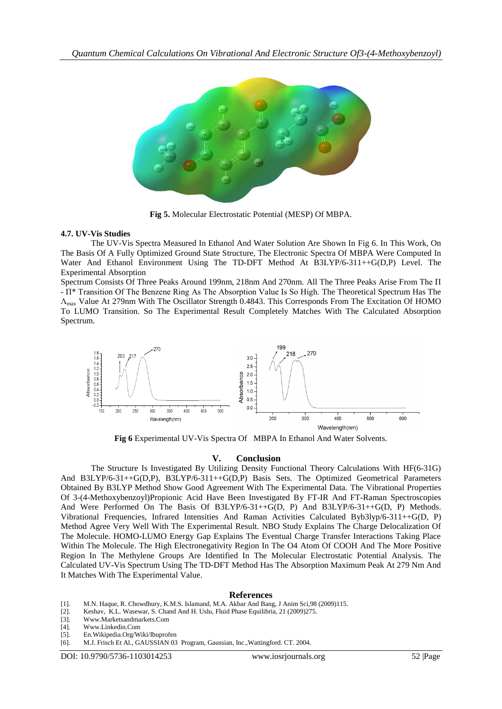

**Fig 5.** Molecular Electrostatic Potential (MESP) Of MBPA.

## **4.7. UV-Vis Studies**

The UV-Vis Spectra Measured In Ethanol And Water Solution Are Shown In Fig 6. In This Work, On The Basis Of A Fully Optimized Ground State Structure, The Electronic Spectra Of MBPA Were Computed In Water And Ethanol Environment Using The TD-DFT Method At B3LYP/6-311++G(D,P) Level. The Experimental Absorption

Spectrum Consists Of Three Peaks Around 199nm, 218nm And 270nm. All The Three Peaks Arise From The Π - Π\* Transition Of The Benzene Ring As The Absorption Value Is So High. The Theoretical Spectrum Has The Λmax Value At 279nm With The Oscillator Strength 0.4843. This Corresponds From The Excitation Of HOMO To LUMO Transition. So The Experimental Result Completely Matches With The Calculated Absorption Spectrum.



**Fig 6** Experimental UV-Vis Spectra Of MBPA In Ethanol And Water Solvents.

# **V. Conclusion**

The Structure Is Investigated By Utilizing Density Functional Theory Calculations With HF(6-31G) And B3LYP/6-31++G(D,P), B3LYP/6-311++G(D,P) Basis Sets. The Optimized Geometrical Parameters Obtained By B3LYP Method Show Good Agreement With The Experimental Data. The Vibrational Properties Of 3-(4-Methoxybenzoyl)Propionic Acid Have Been Investigated By FT-IR And FT-Raman Spectroscopies And Were Performed On The Basis Of B3LYP/6-31++G(D, P) And B3LYP/6-31++G(D, P) Methods. Vibrational Frequencies, Infrared Intensities And Raman Activities Calculated Byb3lyp/6-311++G(D, P) Method Agree Very Well With The Experimental Result. NBO Study Explains The Charge Delocalization Of The Molecule. HOMO-LUMO Energy Gap Explains The Eventual Charge Transfer Interactions Taking Place Within The Molecule. The High Electronegativity Region In The O4 Atom Of COOH And The More Positive Region In The Methylene Groups Are Identified In The Molecular Electrostatic Potential Analysis. The Calculated UV-Vis Spectrum Using The TD-DFT Method Has The Absorption Maximum Peak At 279 Nm And It Matches With The Experimental Value.

#### **References**

- [1]. M.N. Haque, R. Chowdhury, K.M.S. Islamand, M.A. Akbar And Bang, J Anim Sci, 98 (2009)115. [2]. Keshav, K.L. Wasewar, S. Chand And H. Uslu, Fluid Phase Equilibria, 21 (2009)275.
- Keshav, K.L. Wasewar, S. Chand And H. Uslu, Fluid Phase Equilibria, 21 (2009)275.
- [3]. [Www.Marketsandmarkets.Com](http://www.marketsandmarkets.com/)
- [4]. [Www.Linkedin.Com](http://www.linkedin.com/)
- [5]. En.Wikipedia.Org/Wiki/Ibuprofen
- [6]. M.J. Frisch Et Al., GAUSSIAN 03 Program, Gaussian, Inc.,Wattingford. CT. 2004.